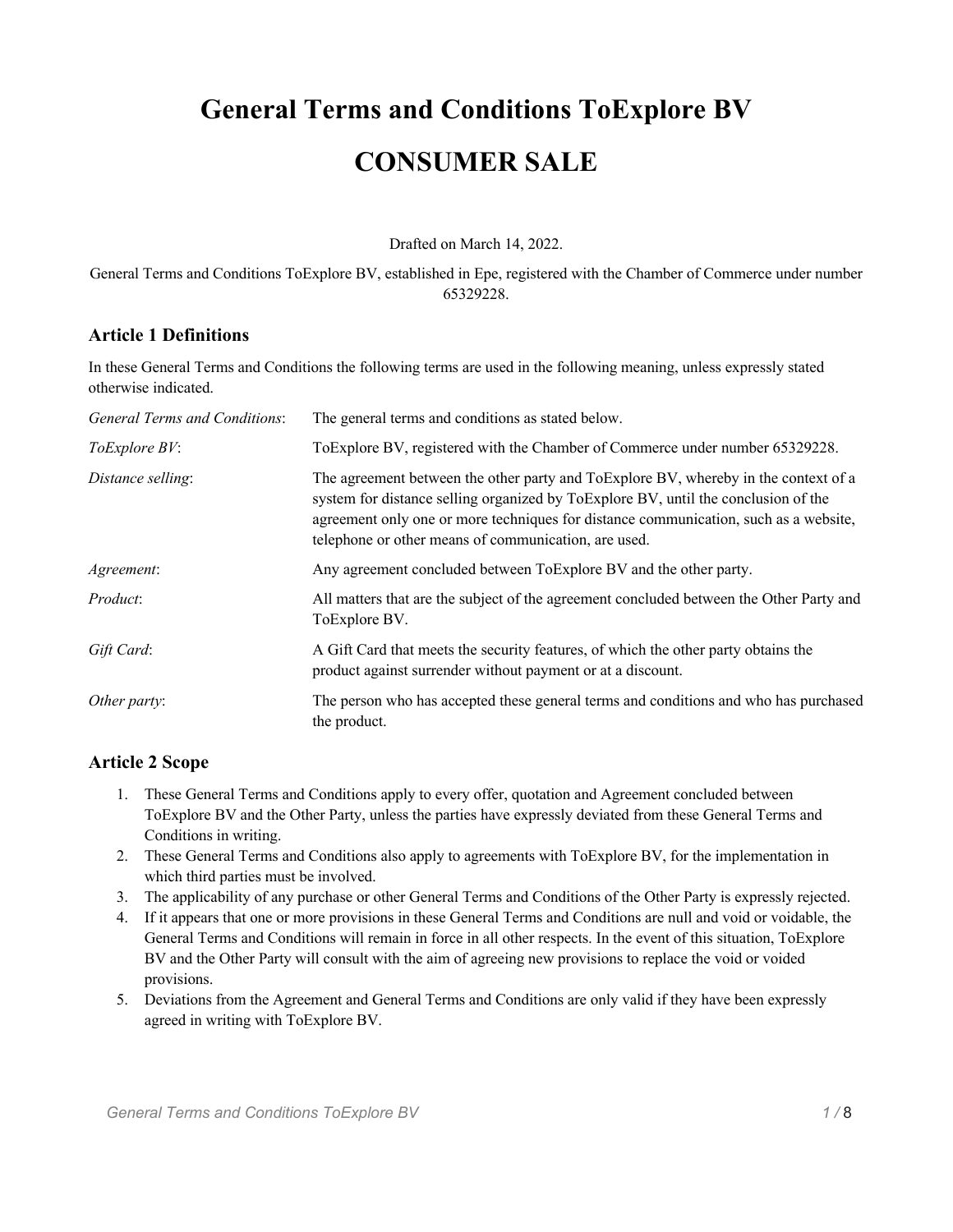# **General Terms and Conditions ToExplore BV CONSUMER SALE**

Drafted on March 14, 2022.

General Terms and Conditions ToExplore BV, established in Epe, registered with the Chamber of Commerce under number 65329228.

# **Article 1 Definitions**

In these General Terms and Conditions the following terms are used in the following meaning, unless expressly stated otherwise indicated.

| General Terms and Conditions: | The general terms and conditions as stated below.                                                                                                                                                                                                                                                                         |
|-------------------------------|---------------------------------------------------------------------------------------------------------------------------------------------------------------------------------------------------------------------------------------------------------------------------------------------------------------------------|
| <i>ToExplore BV</i> :         | To Explore BV, registered with the Chamber of Commerce under number 65329228.                                                                                                                                                                                                                                             |
| Distance selling:             | The agreement between the other party and ToExplore BV, whereby in the context of a<br>system for distance selling organized by ToExplore BV, until the conclusion of the<br>agreement only one or more techniques for distance communication, such as a website,<br>telephone or other means of communication, are used. |
| Agreement:                    | Any agreement concluded between ToExplore BV and the other party.                                                                                                                                                                                                                                                         |
| <i>Product:</i>               | All matters that are the subject of the agreement concluded between the Other Party and<br>ToExplore BV.                                                                                                                                                                                                                  |
| Gift Card:                    | A Gift Card that meets the security features, of which the other party obtains the<br>product against surrender without payment or at a discount.                                                                                                                                                                         |
| Other party:                  | The person who has accepted these general terms and conditions and who has purchased<br>the product.                                                                                                                                                                                                                      |

# **Article 2 Scope**

- 1. These General Terms and Conditions apply to every offer, quotation and Agreement concluded between ToExplore BV and the Other Party, unless the parties have expressly deviated from these General Terms and Conditions in writing.
- 2. These General Terms and Conditions also apply to agreements with ToExplore BV, for the implementation in which third parties must be involved.
- 3. The applicability of any purchase or other General Terms and Conditions of the Other Party is expressly rejected.
- 4. If it appears that one or more provisions in these General Terms and Conditions are null and void or voidable, the General Terms and Conditions will remain in force in all other respects. In the event of this situation, ToExplore BV and the Other Party will consult with the aim of agreeing new provisions to replace the void or voided provisions.
- 5. Deviations from the Agreement and General Terms and Conditions are only valid if they have been expressly agreed in writing with ToExplore BV.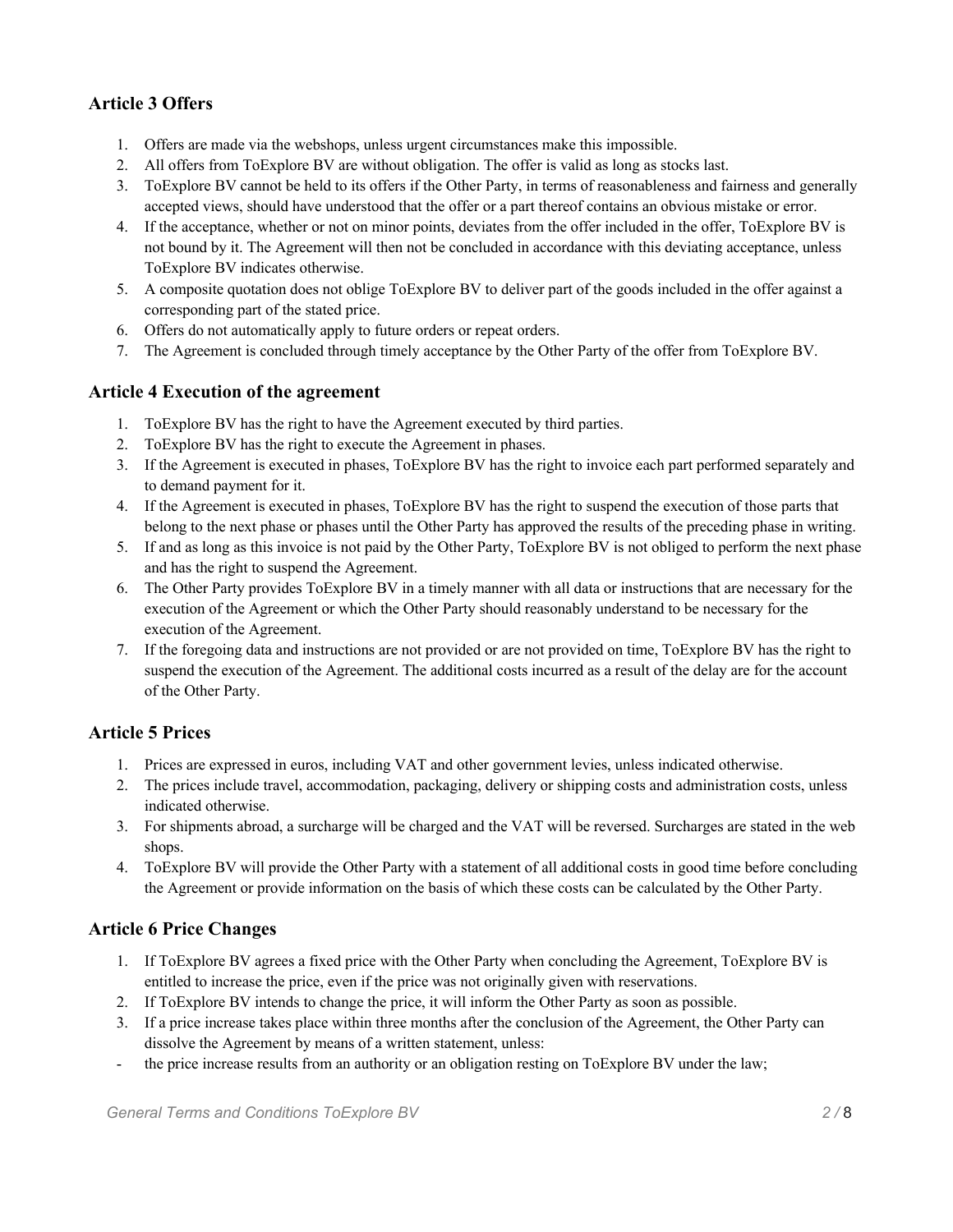# **Article 3 Offers**

- 1. Offers are made via the webshops, unless urgent circumstances make this impossible.
- 2. All offers from ToExplore BV are without obligation. The offer is valid as long as stocks last.
- 3. ToExplore BV cannot be held to its offers if the Other Party, in terms of reasonableness and fairness and generally accepted views, should have understood that the offer or a part thereof contains an obvious mistake or error.
- 4. If the acceptance, whether or not on minor points, deviates from the offer included in the offer, ToExplore BV is not bound by it. The Agreement will then not be concluded in accordance with this deviating acceptance, unless ToExplore BV indicates otherwise.
- 5. A composite quotation does not oblige ToExplore BV to deliver part of the goods included in the offer against a corresponding part of the stated price.
- 6. Offers do not automatically apply to future orders or repeat orders.
- 7. The Agreement is concluded through timely acceptance by the Other Party of the offer from ToExplore BV.

#### **Article 4 Execution of the agreement**

- 1. ToExplore BV has the right to have the Agreement executed by third parties.
- 2. ToExplore BV has the right to execute the Agreement in phases.
- 3. If the Agreement is executed in phases, ToExplore BV has the right to invoice each part performed separately and to demand payment for it.
- 4. If the Agreement is executed in phases, ToExplore BV has the right to suspend the execution of those parts that belong to the next phase or phases until the Other Party has approved the results of the preceding phase in writing.
- 5. If and as long as this invoice is not paid by the Other Party, ToExplore BV is not obliged to perform the next phase and has the right to suspend the Agreement.
- 6. The Other Party provides ToExplore BV in a timely manner with all data or instructions that are necessary for the execution of the Agreement or which the Other Party should reasonably understand to be necessary for the execution of the Agreement.
- 7. If the foregoing data and instructions are not provided or are not provided on time, ToExplore BV has the right to suspend the execution of the Agreement. The additional costs incurred as a result of the delay are for the account of the Other Party.

## **Article 5 Prices**

- 1. Prices are expressed in euros, including VAT and other government levies, unless indicated otherwise.
- 2. The prices include travel, accommodation, packaging, delivery or shipping costs and administration costs, unless indicated otherwise.
- 3. For shipments abroad, a surcharge will be charged and the VAT will be reversed. Surcharges are stated in the web shops.
- 4. ToExplore BV will provide the Other Party with a statement of all additional costs in good time before concluding the Agreement or provide information on the basis of which these costs can be calculated by the Other Party.

## **Article 6 Price Changes**

- 1. If ToExplore BV agrees a fixed price with the Other Party when concluding the Agreement, ToExplore BV is entitled to increase the price, even if the price was not originally given with reservations.
- 2. If ToExplore BV intends to change the price, it will inform the Other Party as soon as possible.
- 3. If a price increase takes place within three months after the conclusion of the Agreement, the Other Party can dissolve the Agreement by means of a written statement, unless:
- the price increase results from an authority or an obligation resting on ToExplore BV under the law;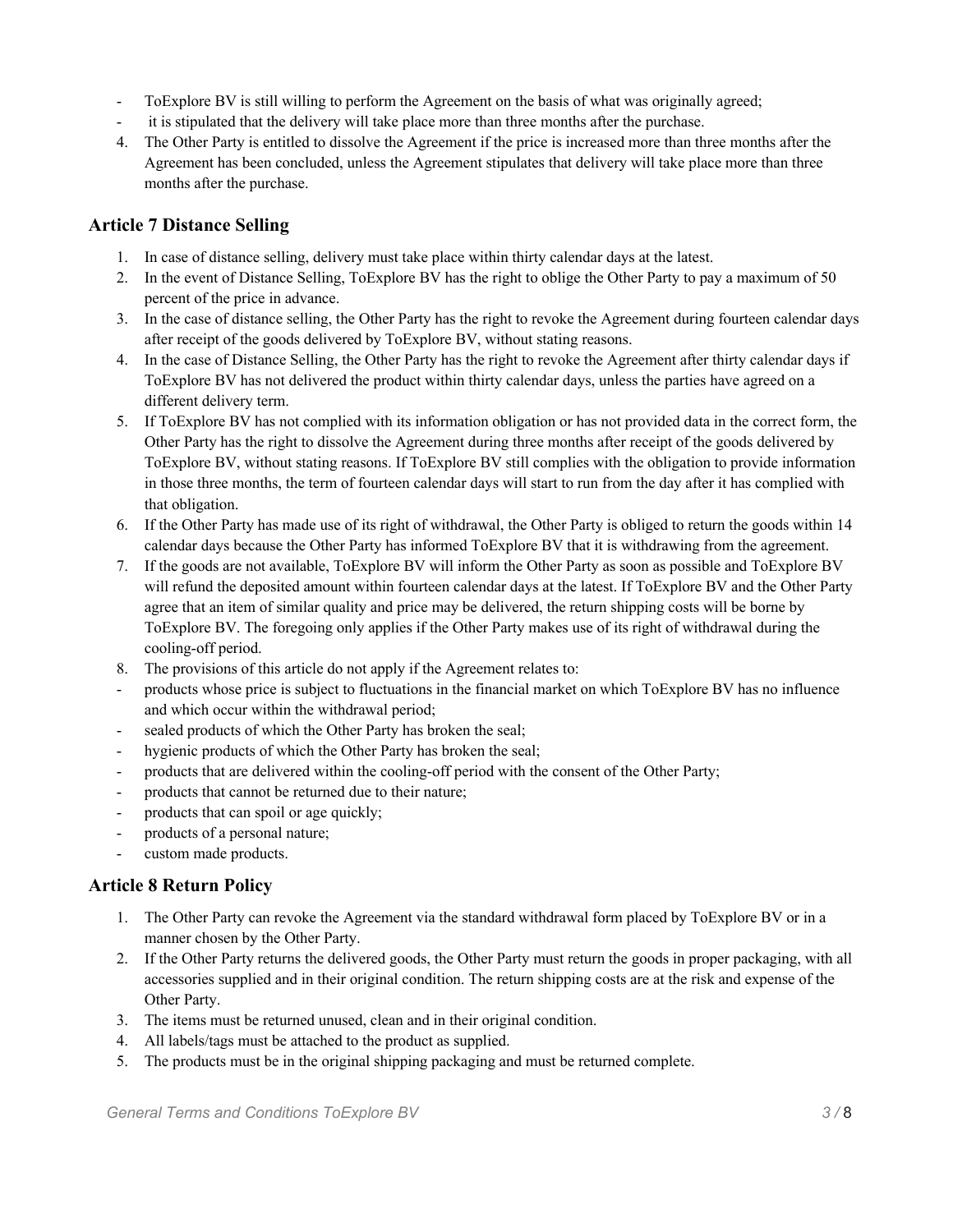- ToExplore BV is still willing to perform the Agreement on the basis of what was originally agreed;
- it is stipulated that the delivery will take place more than three months after the purchase.
- 4. The Other Party is entitled to dissolve the Agreement if the price is increased more than three months after the Agreement has been concluded, unless the Agreement stipulates that delivery will take place more than three months after the purchase.

# **Article 7 Distance Selling**

- 1. In case of distance selling, delivery must take place within thirty calendar days at the latest.
- 2. In the event of Distance Selling, ToExplore BV has the right to oblige the Other Party to pay a maximum of 50 percent of the price in advance.
- 3. In the case of distance selling, the Other Party has the right to revoke the Agreement during fourteen calendar days after receipt of the goods delivered by ToExplore BV, without stating reasons.
- 4. In the case of Distance Selling, the Other Party has the right to revoke the Agreement after thirty calendar days if ToExplore BV has not delivered the product within thirty calendar days, unless the parties have agreed on a different delivery term.
- 5. If ToExplore BV has not complied with its information obligation or has not provided data in the correct form, the Other Party has the right to dissolve the Agreement during three months after receipt of the goods delivered by ToExplore BV, without stating reasons. If ToExplore BV still complies with the obligation to provide information in those three months, the term of fourteen calendar days will start to run from the day after it has complied with that obligation.
- 6. If the Other Party has made use of its right of withdrawal, the Other Party is obliged to return the goods within 14 calendar days because the Other Party has informed ToExplore BV that it is withdrawing from the agreement.
- 7. If the goods are not available, ToExplore BV will inform the Other Party as soon as possible and ToExplore BV will refund the deposited amount within fourteen calendar days at the latest. If ToExplore BV and the Other Party agree that an item of similar quality and price may be delivered, the return shipping costs will be borne by ToExplore BV. The foregoing only applies if the Other Party makes use of its right of withdrawal during the cooling-off period.
- 8. The provisions of this article do not apply if the Agreement relates to:
- products whose price is subject to fluctuations in the financial market on which ToExplore BV has no influence and which occur within the withdrawal period;
- sealed products of which the Other Party has broken the seal;
- hygienic products of which the Other Party has broken the seal;
- products that are delivered within the cooling-off period with the consent of the Other Party;
- products that cannot be returned due to their nature;
- products that can spoil or age quickly;
- products of a personal nature;
- custom made products.

# **Article 8 Return Policy**

- 1. The Other Party can revoke the Agreement via the standard withdrawal form placed by ToExplore BV or in a manner chosen by the Other Party.
- 2. If the Other Party returns the delivered goods, the Other Party must return the goods in proper packaging, with all accessories supplied and in their original condition. The return shipping costs are at the risk and expense of the Other Party.
- 3. The items must be returned unused, clean and in their original condition.
- 4. All labels/tags must be attached to the product as supplied.
- 5. The products must be in the original shipping packaging and must be returned complete.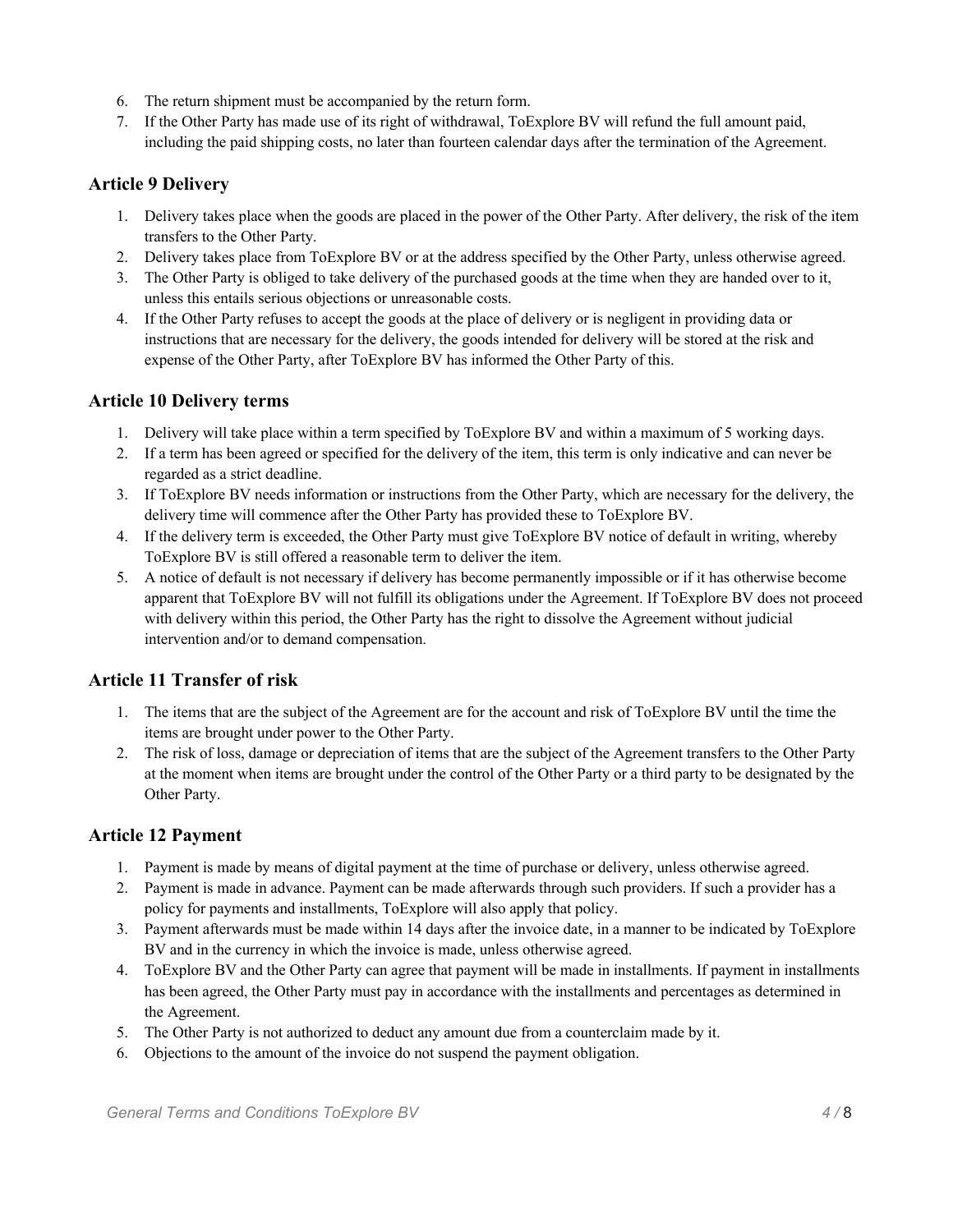- 6. The return shipment must be accompanied by the return form.
- 7. If the Other Party has made use of its right of withdrawal, ToExplore BV will refund the full amount paid, including the paid shipping costs, no later than fourteen calendar days after the termination of the Agreement.

# **Article 9 Delivery**

- 1. Delivery takes place when the goods are placed in the power of the Other Party. After delivery, the risk of the item transfers to the Other Party.
- 2. Delivery takes place from ToExplore BV or at the address specified by the Other Party, unless otherwise agreed.
- 3. The Other Party is obliged to take delivery of the purchased goods at the time when they are handed over to it, unless this entails serious objections or unreasonable costs.
- 4. If the Other Party refuses to accept the goods at the place of delivery or is negligent in providing data or instructions that are necessary for the delivery, the goods intended for delivery will be stored at the risk and expense of the Other Party, after ToExplore BV has informed the Other Party of this.

# **Article 10 Delivery terms**

- 1. Delivery will take place within a term specified by ToExplore BV and within a maximum of 5 working days.
- 2. If a term has been agreed or specified for the delivery of the item, this term is only indicative and can never be regarded as a strict deadline.
- 3. If ToExplore BV needs information or instructions from the Other Party, which are necessary for the delivery, the delivery time will commence after the Other Party has provided these to ToExplore BV.
- 4. If the delivery term is exceeded, the Other Party must give ToExplore BV notice of default in writing, whereby ToExplore BV is still offered a reasonable term to deliver the item.
- 5. A notice of default is not necessary if delivery has become permanently impossible or if it has otherwise become apparent that ToExplore BV will not fulfill its obligations under the Agreement. If ToExplore BV does not proceed with delivery within this period, the Other Party has the right to dissolve the Agreement without judicial intervention and/or to demand compensation.

# **Article 11 Transfer of risk**

- 1. The items that are the subject of the Agreement are for the account and risk of ToExplore BV until the time the items are brought under power to the Other Party.
- 2. The risk of loss, damage or depreciation of items that are the subject of the Agreement transfers to the Other Party at the moment when items are brought under the control of the Other Party or a third party to be designated by the Other Party.

## **Article 12 Payment**

- 1. Payment is made by means of digital payment at the time of purchase or delivery, unless otherwise agreed.
- 2. Payment is made in advance. Payment can be made afterwards through such providers. If such a provider has a policy for payments and installments, ToExplore will also apply that policy.
- 3. Payment afterwards must be made within 14 days after the invoice date, in a manner to be indicated by ToExplore BV and in the currency in which the invoice is made, unless otherwise agreed.
- 4. ToExplore BV and the Other Party can agree that payment will be made in installments. If payment in installments has been agreed, the Other Party must pay in accordance with the installments and percentages as determined in the Agreement.
- 5. The Other Party is not authorized to deduct any amount due from a counterclaim made by it.
- 6. Objections to the amount of the invoice do not suspend the payment obligation.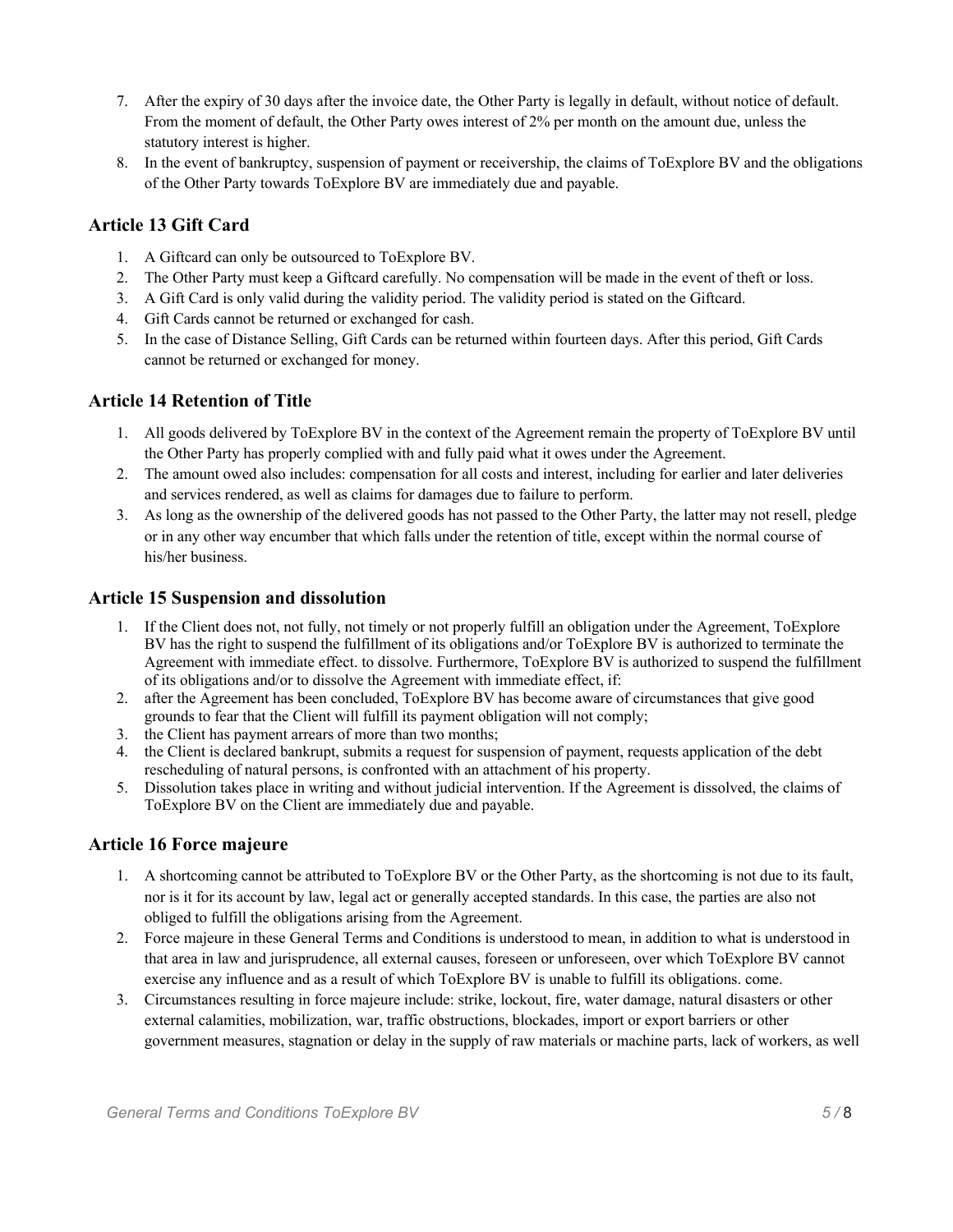- 7. After the expiry of 30 days after the invoice date, the Other Party is legally in default, without notice of default. From the moment of default, the Other Party owes interest of 2% per month on the amount due, unless the statutory interest is higher.
- 8. In the event of bankruptcy, suspension of payment or receivership, the claims of ToExplore BV and the obligations of the Other Party towards ToExplore BV are immediately due and payable.

## **Article 13 Gift Card**

- 1. A Giftcard can only be outsourced to ToExplore BV.
- 2. The Other Party must keep a Giftcard carefully. No compensation will be made in the event of theft or loss.
- 3. A Gift Card is only valid during the validity period. The validity period is stated on the Giftcard.
- 4. Gift Cards cannot be returned or exchanged for cash.
- 5. In the case of Distance Selling, Gift Cards can be returned within fourteen days. After this period, Gift Cards cannot be returned or exchanged for money.

#### **Article 14 Retention of Title**

- 1. All goods delivered by ToExplore BV in the context of the Agreement remain the property of ToExplore BV until the Other Party has properly complied with and fully paid what it owes under the Agreement.
- 2. The amount owed also includes: compensation for all costs and interest, including for earlier and later deliveries and services rendered, as well as claims for damages due to failure to perform.
- 3. As long as the ownership of the delivered goods has not passed to the Other Party, the latter may not resell, pledge or in any other way encumber that which falls under the retention of title, except within the normal course of his/her business.

#### **Article 15 Suspension and dissolution**

- 1. If the Client does not, not fully, not timely or not properly fulfill an obligation under the Agreement, ToExplore BV has the right to suspend the fulfillment of its obligations and/or ToExplore BV is authorized to terminate the Agreement with immediate effect. to dissolve. Furthermore, ToExplore BV is authorized to suspend the fulfillment of its obligations and/or to dissolve the Agreement with immediate effect, if:
- 2. after the Agreement has been concluded, ToExplore BV has become aware of circumstances that give good grounds to fear that the Client will fulfill its payment obligation will not comply;
- 3. the Client has payment arrears of more than two months;
- 4. the Client is declared bankrupt, submits a request for suspension of payment, requests application of the debt rescheduling of natural persons, is confronted with an attachment of his property.
- 5. Dissolution takes place in writing and without judicial intervention. If the Agreement is dissolved, the claims of ToExplore BV on the Client are immediately due and payable.

#### **Article 16 Force majeure**

- 1. A shortcoming cannot be attributed to ToExplore BV or the Other Party, as the shortcoming is not due to its fault, nor is it for its account by law, legal act or generally accepted standards. In this case, the parties are also not obliged to fulfill the obligations arising from the Agreement.
- 2. Force majeure in these General Terms and Conditions is understood to mean, in addition to what is understood in that area in law and jurisprudence, all external causes, foreseen or unforeseen, over which ToExplore BV cannot exercise any influence and as a result of which ToExplore BV is unable to fulfill its obligations. come.
- 3. Circumstances resulting in force majeure include: strike, lockout, fire, water damage, natural disasters or other external calamities, mobilization, war, traffic obstructions, blockades, import or export barriers or other government measures, stagnation or delay in the supply of raw materials or machine parts, lack of workers, as well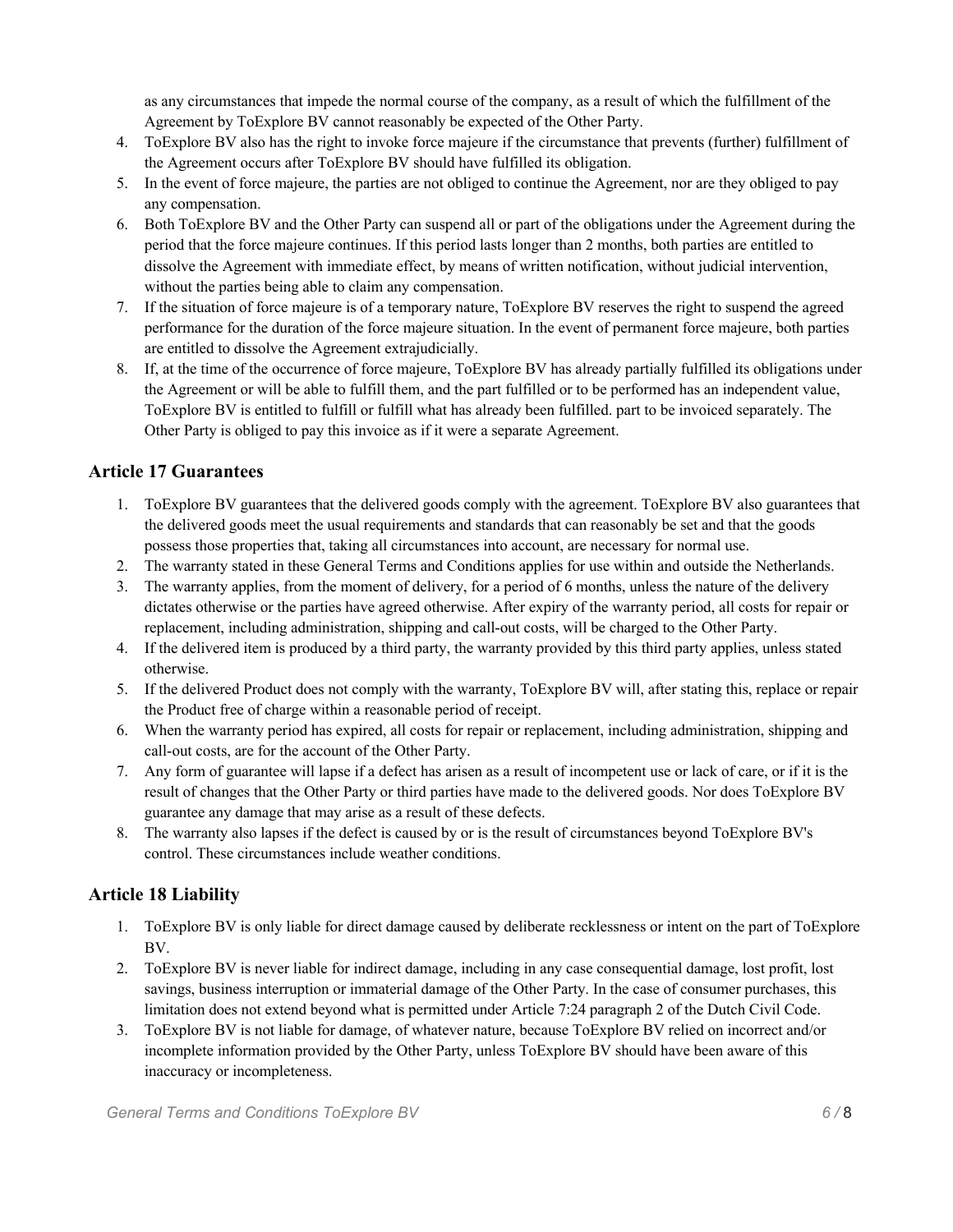as any circumstances that impede the normal course of the company, as a result of which the fulfillment of the Agreement by ToExplore BV cannot reasonably be expected of the Other Party.

- 4. ToExplore BV also has the right to invoke force majeure if the circumstance that prevents (further) fulfillment of the Agreement occurs after ToExplore BV should have fulfilled its obligation.
- 5. In the event of force majeure, the parties are not obliged to continue the Agreement, nor are they obliged to pay any compensation.
- 6. Both ToExplore BV and the Other Party can suspend all or part of the obligations under the Agreement during the period that the force majeure continues. If this period lasts longer than 2 months, both parties are entitled to dissolve the Agreement with immediate effect, by means of written notification, without judicial intervention, without the parties being able to claim any compensation.
- 7. If the situation of force majeure is of a temporary nature, ToExplore BV reserves the right to suspend the agreed performance for the duration of the force majeure situation. In the event of permanent force majeure, both parties are entitled to dissolve the Agreement extrajudicially.
- 8. If, at the time of the occurrence of force majeure, ToExplore BV has already partially fulfilled its obligations under the Agreement or will be able to fulfill them, and the part fulfilled or to be performed has an independent value, ToExplore BV is entitled to fulfill or fulfill what has already been fulfilled. part to be invoiced separately. The Other Party is obliged to pay this invoice as if it were a separate Agreement.

## **Article 17 Guarantees**

- 1. ToExplore BV guarantees that the delivered goods comply with the agreement. ToExplore BV also guarantees that the delivered goods meet the usual requirements and standards that can reasonably be set and that the goods possess those properties that, taking all circumstances into account, are necessary for normal use.
- 2. The warranty stated in these General Terms and Conditions applies for use within and outside the Netherlands.
- 3. The warranty applies, from the moment of delivery, for a period of 6 months, unless the nature of the delivery dictates otherwise or the parties have agreed otherwise. After expiry of the warranty period, all costs for repair or replacement, including administration, shipping and call-out costs, will be charged to the Other Party.
- 4. If the delivered item is produced by a third party, the warranty provided by this third party applies, unless stated otherwise.
- 5. If the delivered Product does not comply with the warranty, ToExplore BV will, after stating this, replace or repair the Product free of charge within a reasonable period of receipt.
- 6. When the warranty period has expired, all costs for repair or replacement, including administration, shipping and call-out costs, are for the account of the Other Party.
- 7. Any form of guarantee will lapse if a defect has arisen as a result of incompetent use or lack of care, or if it is the result of changes that the Other Party or third parties have made to the delivered goods. Nor does ToExplore BV guarantee any damage that may arise as a result of these defects.
- 8. The warranty also lapses if the defect is caused by or is the result of circumstances beyond ToExplore BV's control. These circumstances include weather conditions.

# **Article 18 Liability**

- 1. ToExplore BV is only liable for direct damage caused by deliberate recklessness or intent on the part of ToExplore BV.
- 2. ToExplore BV is never liable for indirect damage, including in any case consequential damage, lost profit, lost savings, business interruption or immaterial damage of the Other Party. In the case of consumer purchases, this limitation does not extend beyond what is permitted under Article 7:24 paragraph 2 of the Dutch Civil Code.
- 3. ToExplore BV is not liable for damage, of whatever nature, because ToExplore BV relied on incorrect and/or incomplete information provided by the Other Party, unless ToExplore BV should have been aware of this inaccuracy or incompleteness.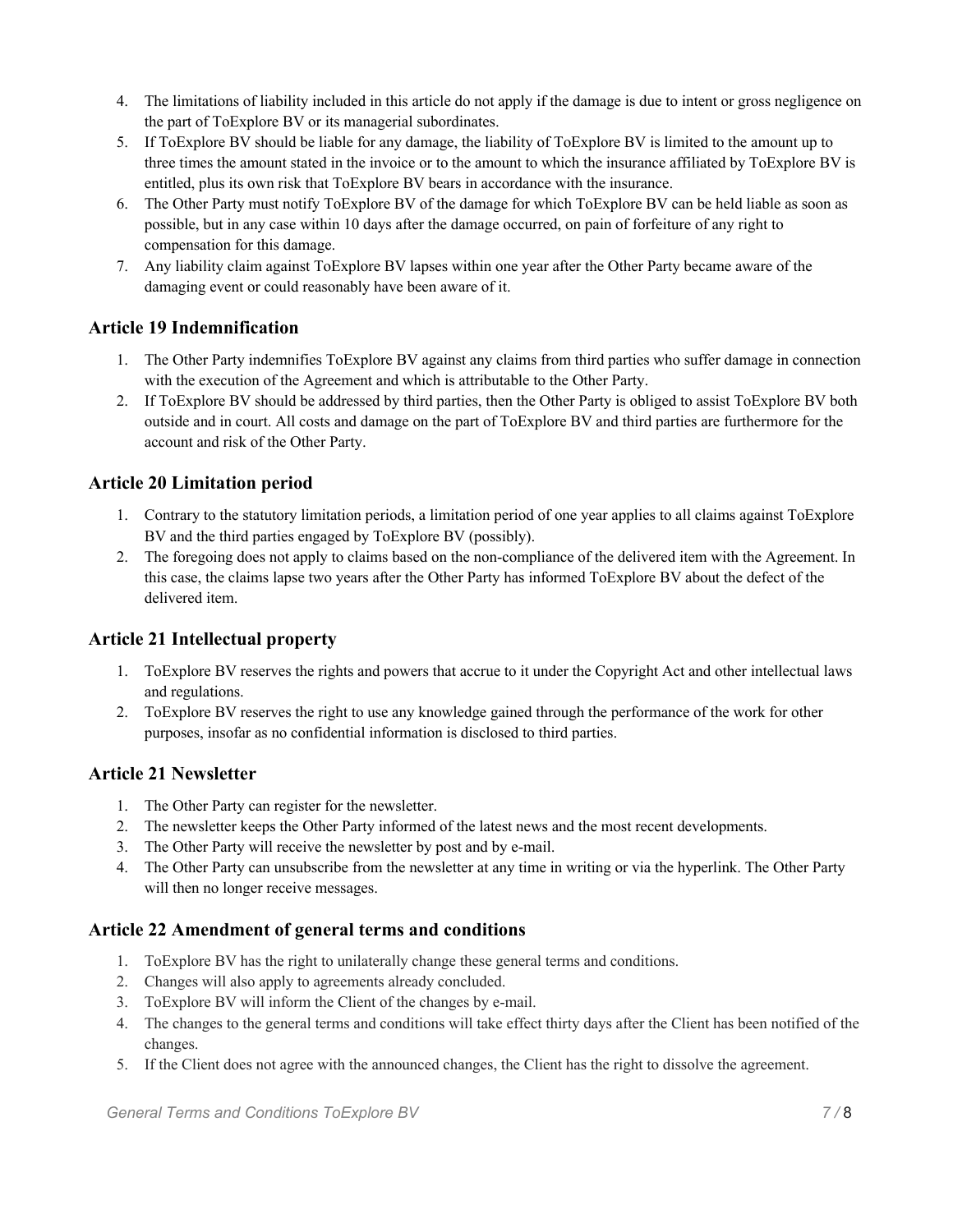- 4. The limitations of liability included in this article do not apply if the damage is due to intent or gross negligence on the part of ToExplore BV or its managerial subordinates.
- 5. If ToExplore BV should be liable for any damage, the liability of ToExplore BV is limited to the amount up to three times the amount stated in the invoice or to the amount to which the insurance affiliated by ToExplore BV is entitled, plus its own risk that ToExplore BV bears in accordance with the insurance.
- 6. The Other Party must notify ToExplore BV of the damage for which ToExplore BV can be held liable as soon as possible, but in any case within 10 days after the damage occurred, on pain of forfeiture of any right to compensation for this damage.
- 7. Any liability claim against ToExplore BV lapses within one year after the Other Party became aware of the damaging event or could reasonably have been aware of it.

# **Article 19 Indemnification**

- 1. The Other Party indemnifies ToExplore BV against any claims from third parties who suffer damage in connection with the execution of the Agreement and which is attributable to the Other Party.
- 2. If ToExplore BV should be addressed by third parties, then the Other Party is obliged to assist ToExplore BV both outside and in court. All costs and damage on the part of ToExplore BV and third parties are furthermore for the account and risk of the Other Party.

# **Article 20 Limitation period**

- 1. Contrary to the statutory limitation periods, a limitation period of one year applies to all claims against ToExplore BV and the third parties engaged by ToExplore BV (possibly).
- 2. The foregoing does not apply to claims based on the non-compliance of the delivered item with the Agreement. In this case, the claims lapse two years after the Other Party has informed ToExplore BV about the defect of the delivered item.

## **Article 21 Intellectual property**

- 1. ToExplore BV reserves the rights and powers that accrue to it under the Copyright Act and other intellectual laws and regulations.
- 2. ToExplore BV reserves the right to use any knowledge gained through the performance of the work for other purposes, insofar as no confidential information is disclosed to third parties.

## **Article 21 Newsletter**

- 1. The Other Party can register for the newsletter.
- 2. The newsletter keeps the Other Party informed of the latest news and the most recent developments.
- 3. The Other Party will receive the newsletter by post and by e-mail.
- 4. The Other Party can unsubscribe from the newsletter at any time in writing or via the hyperlink. The Other Party will then no longer receive messages.

## **Article 22 Amendment of general terms and conditions**

- 1. ToExplore BV has the right to unilaterally change these general terms and conditions.
- 2. Changes will also apply to agreements already concluded.
- 3. ToExplore BV will inform the Client of the changes by e-mail.
- 4. The changes to the general terms and conditions will take effect thirty days after the Client has been notified of the changes.
- 5. If the Client does not agree with the announced changes, the Client has the right to dissolve the agreement.